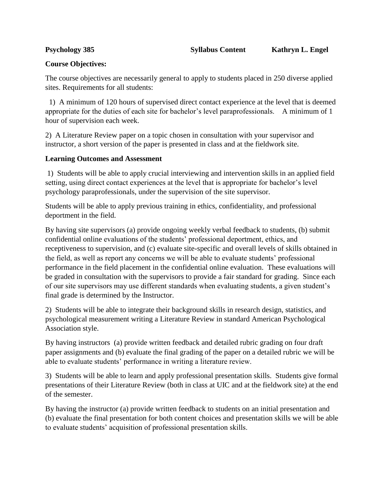## **Course Objectives:**

The course objectives are necessarily general to apply to students placed in 250 diverse applied sites. Requirements for all students:

 1) A minimum of 120 hours of supervised direct contact experience at the level that is deemed appropriate for the duties of each site for bachelor's level paraprofessionals. A minimum of 1 hour of supervision each week.

2) A Literature Review paper on a topic chosen in consultation with your supervisor and instructor, a short version of the paper is presented in class and at the fieldwork site.

## **Learning Outcomes and Assessment**

1) Students will be able to apply crucial interviewing and intervention skills in an applied field setting, using direct contact experiences at the level that is appropriate for bachelor's level psychology paraprofessionals, under the supervision of the site supervisor.

Students will be able to apply previous training in ethics, confidentiality, and professional deportment in the field.

By having site supervisors (a) provide ongoing weekly verbal feedback to students, (b) submit confidential online evaluations of the students' professional deportment, ethics, and receptiveness to supervision, and (c) evaluate site-specific and overall levels of skills obtained in the field, as well as report any concerns we will be able to evaluate students' professional performance in the field placement in the confidential online evaluation. These evaluations will be graded in consultation with the supervisors to provide a fair standard for grading. Since each of our site supervisors may use different standards when evaluating students, a given student's final grade is determined by the Instructor.

2) Students will be able to integrate their background skills in research design, statistics, and psychological measurement writing a Literature Review in standard American Psychological Association style.

By having instructors (a) provide written feedback and detailed rubric grading on four draft paper assignments and (b) evaluate the final grading of the paper on a detailed rubric we will be able to evaluate students' performance in writing a literature review.

3) Students will be able to learn and apply professional presentation skills. Students give formal presentations of their Literature Review (both in class at UIC and at the fieldwork site) at the end of the semester.

By having the instructor (a) provide written feedback to students on an initial presentation and (b) evaluate the final presentation for both content choices and presentation skills we will be able to evaluate students' acquisition of professional presentation skills.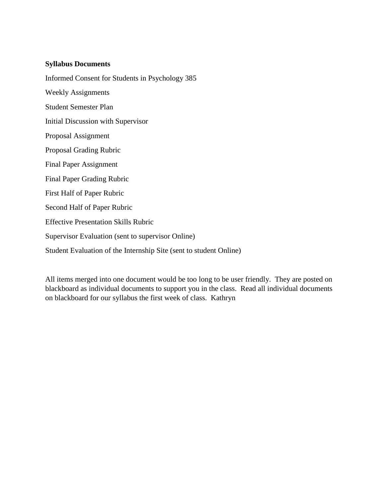## **Syllabus Documents**

Informed Consent for Students in Psychology 385 Weekly Assignments Student Semester Plan Initial Discussion with Supervisor Proposal Assignment Proposal Grading Rubric Final Paper Assignment Final Paper Grading Rubric First Half of Paper Rubric Second Half of Paper Rubric Effective Presentation Skills Rubric Supervisor Evaluation (sent to supervisor Online) Student Evaluation of the Internship Site (sent to student Online)

All items merged into one document would be too long to be user friendly. They are posted on blackboard as individual documents to support you in the class. Read all individual documents on blackboard for our syllabus the first week of class. Kathryn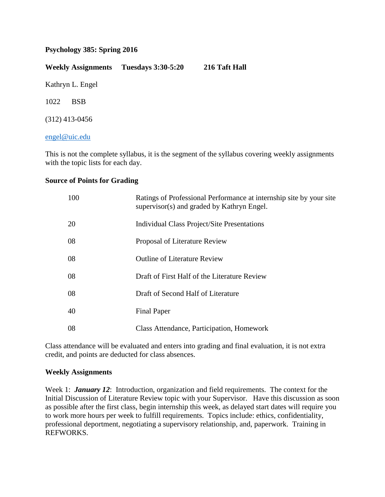## **Psychology 385: Spring 2016**

**Weekly Assignments Tuesdays 3:30-5:20 216 Taft Hall** Kathryn L. Engel 1022 BSB (312) 413-0456

### [engel@uic.edu](mailto:engel@uic.edu)

This is not the complete syllabus, it is the segment of the syllabus covering weekly assignments with the topic lists for each day.

### **Source of Points for Grading**

| 100 | Ratings of Professional Performance at internship site by your site<br>supervisor(s) and graded by Kathryn Engel. |
|-----|-------------------------------------------------------------------------------------------------------------------|
| 20  | Individual Class Project/Site Presentations                                                                       |
| 08  | Proposal of Literature Review                                                                                     |
| 08  | <b>Outline of Literature Review</b>                                                                               |
| 08  | Draft of First Half of the Literature Review                                                                      |
| 08  | Draft of Second Half of Literature                                                                                |
| 40  | <b>Final Paper</b>                                                                                                |
| 08  | Class Attendance, Participation, Homework                                                                         |

Class attendance will be evaluated and enters into grading and final evaluation, it is not extra credit, and points are deducted for class absences.

## **Weekly Assignments**

Week 1: *January 12*: Introduction, organization and field requirements. The context for the Initial Discussion of Literature Review topic with your Supervisor. Have this discussion as soon as possible after the first class, begin internship this week, as delayed start dates will require you to work more hours per week to fulfill requirements. Topics include: ethics, confidentiality, professional deportment, negotiating a supervisory relationship, and, paperwork. Training in REFWORKS.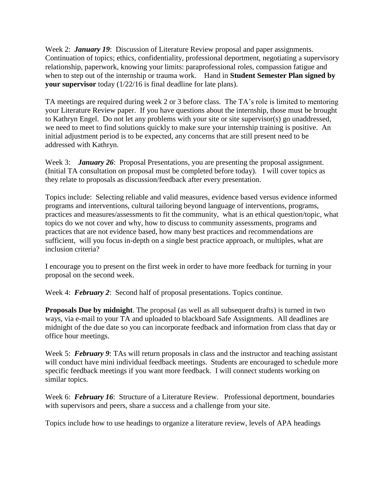Week 2: *January 19*: Discussion of Literature Review proposal and paper assignments. Continuation of topics; ethics, confidentiality, professional deportment, negotiating a supervisory relationship, paperwork, knowing your limits: paraprofessional roles, compassion fatigue and when to step out of the internship or trauma work. Hand in **Student Semester Plan signed by your supervisor** today  $\left(\frac{1}{22}\right)$  is final deadline for late plans).

TA meetings are required during week 2 or 3 before class. The TA's role is limited to mentoring your Literature Review paper. If you have questions about the internship, those must be brought to Kathryn Engel. Do not let any problems with your site or site supervisor(s) go unaddressed, we need to meet to find solutions quickly to make sure your internship training is positive. An initial adjustment period is to be expected, any concerns that are still present need to be addressed with Kathryn.

Week 3: *January 26*: Proposal Presentations, you are presenting the proposal assignment. (Initial TA consultation on proposal must be completed before today). I will cover topics as they relate to proposals as discussion/feedback after every presentation.

Topics include: Selecting reliable and valid measures, evidence based versus evidence informed programs and interventions, cultural tailoring beyond language of interventions, programs, practices and measures/assessments to fit the community, what is an ethical question/topic, what topics do we not cover and why, how to discuss to community assessments, programs and practices that are not evidence based, how many best practices and recommendations are sufficient, will you focus in-depth on a single best practice approach, or multiples, what are inclusion criteria?

I encourage you to present on the first week in order to have more feedback for turning in your proposal on the second week.

Week 4: *February 2*: Second half of proposal presentations. Topics continue.

**Proposals Due by midnight**. The proposal (as well as all subsequent drafts) is turned in two ways, via e-mail to your TA and uploaded to blackboard Safe Assignments. All deadlines are midnight of the due date so you can incorporate feedback and information from class that day or office hour meetings.

Week 5: **February 9**: TAs will return proposals in class and the instructor and teaching assistant will conduct have mini individual feedback meetings. Students are encouraged to schedule more specific feedback meetings if you want more feedback. I will connect students working on similar topics.

Week 6: *February 16*: Structure of a Literature Review. Professional deportment, boundaries with supervisors and peers, share a success and a challenge from your site.

Topics include how to use headings to organize a literature review, levels of APA headings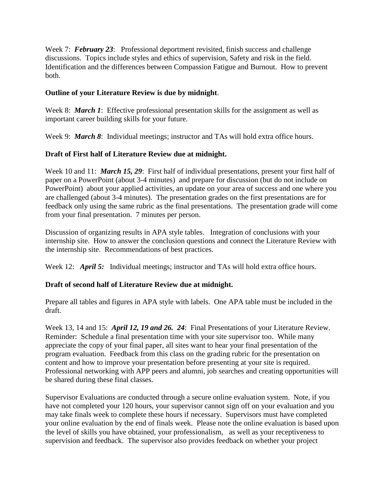Week 7: **February 23:** Professional deportment revisited, finish success and challenge discussions. Topics include styles and ethics of supervision, Safety and risk in the field. Identification and the differences between Compassion Fatigue and Burnout. How to prevent both.

## **Outline of your Literature Review is due by midnight**.

Week 8: *March 1*: Effective professional presentation skills for the assignment as well as important career building skills for your future.

Week 9: *March 8*: Individual meetings; instructor and TAs will hold extra office hours.

# **Draft of First half of Literature Review due at midnight.**

Week 10 and 11: *March 15, 29*: First half of individual presentations, present your first half of paper on a PowerPoint (about 3-4 minutes) and prepare for discussion (but do not include on PowerPoint) about your applied activities, an update on your area of success and one where you are challenged (about 3-4 minutes). The presentation grades on the first presentations are for feedback only using the same rubric as the final presentations. The presentation grade will come from your final presentation. 7 minutes per person.

Discussion of organizing results in APA style tables. Integration of conclusions with your internship site. How to answer the conclusion questions and connect the Literature Review with the internship site. Recommendations of best practices.

Week 12: *April 5:* Individual meetings; instructor and TAs will hold extra office hours.

# **Draft of second half of Literature Review due at midnight.**

Prepare all tables and figures in APA style with labels. One APA table must be included in the draft.

Week 13, 14 and 15: *April 12, 19 and 26. 24*: Final Presentations of your Literature Review. Reminder: Schedule a final presentation time with your site supervisor too. While many appreciate the copy of your final paper, all sites want to hear your final presentation of the program evaluation. Feedback from this class on the grading rubric for the presentation on content and how to improve your presentation before presenting at your site is required. Professional networking with APP peers and alumni, job searches and creating opportunities will be shared during these final classes.

Supervisor Evaluations are conducted through a secure online evaluation system. Note, if you have not completed your 120 hours, your supervisor cannot sign off on your evaluation and you may take finals week to complete these hours if necessary. Supervisors must have completed your online evaluation by the end of finals week. Please note the online evaluation is based upon the level of skills you have obtained, your professionalism, as well as your receptiveness to supervision and feedback. The supervisor also provides feedback on whether your project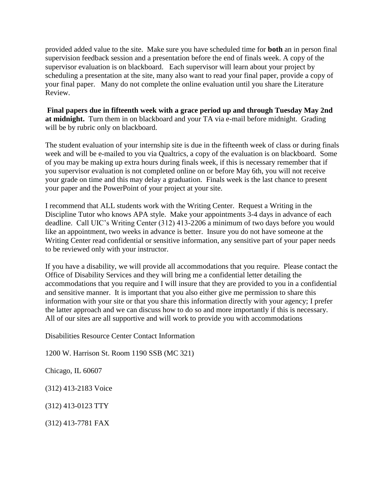provided added value to the site. Make sure you have scheduled time for **both** an in person final supervision feedback session and a presentation before the end of finals week. A copy of the supervisor evaluation is on blackboard. Each supervisor will learn about your project by scheduling a presentation at the site, many also want to read your final paper, provide a copy of your final paper. Many do not complete the online evaluation until you share the Literature Review.

**Final papers due in fifteenth week with a grace period up and through Tuesday May 2nd at midnight.** Turn them in on blackboard and your TA via e-mail before midnight. Grading will be by rubric only on blackboard.

The student evaluation of your internship site is due in the fifteenth week of class or during finals week and will be e-mailed to you via Qualtrics, a copy of the evaluation is on blackboard. Some of you may be making up extra hours during finals week, if this is necessary remember that if you supervisor evaluation is not completed online on or before May 6th, you will not receive your grade on time and this may delay a graduation. Finals week is the last chance to present your paper and the PowerPoint of your project at your site.

I recommend that ALL students work with the Writing Center. Request a Writing in the Discipline Tutor who knows APA style. Make your appointments 3-4 days in advance of each deadline. Call UIC's Writing Center (312) 413-2206 a minimum of two days before you would like an appointment, two weeks in advance is better. Insure you do not have someone at the Writing Center read confidential or sensitive information, any sensitive part of your paper needs to be reviewed only with your instructor.

If you have a disability, we will provide all accommodations that you require. Please contact the Office of Disability Services and they will bring me a confidential letter detailing the accommodations that you require and I will insure that they are provided to you in a confidential and sensitive manner. It is important that you also either give me permission to share this information with your site or that you share this information directly with your agency; I prefer the latter approach and we can discuss how to do so and more importantly if this is necessary. All of our sites are all supportive and will work to provide you with accommodations

Disabilities Resource Center Contact Information

1200 W. Harrison St. Room 1190 SSB (MC 321)

Chicago, IL 60607

(312) 413-2183 Voice

(312) 413-0123 TTY

(312) 413-7781 FAX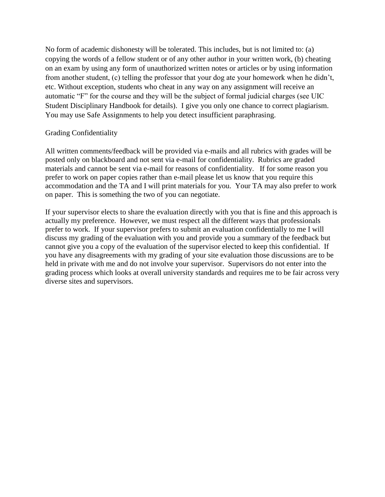No form of academic dishonesty will be tolerated. This includes, but is not limited to: (a) copying the words of a fellow student or of any other author in your written work, (b) cheating on an exam by using any form of unauthorized written notes or articles or by using information from another student, (c) telling the professor that your dog ate your homework when he didn't, etc. Without exception, students who cheat in any way on any assignment will receive an automatic "F" for the course and they will be the subject of formal judicial charges (see UIC Student Disciplinary Handbook for details). I give you only one chance to correct plagiarism. You may use Safe Assignments to help you detect insufficient paraphrasing.

## Grading Confidentiality

All written comments/feedback will be provided via e-mails and all rubrics with grades will be posted only on blackboard and not sent via e-mail for confidentiality. Rubrics are graded materials and cannot be sent via e-mail for reasons of confidentiality. If for some reason you prefer to work on paper copies rather than e-mail please let us know that you require this accommodation and the TA and I will print materials for you. Your TA may also prefer to work on paper. This is something the two of you can negotiate.

If your supervisor elects to share the evaluation directly with you that is fine and this approach is actually my preference. However, we must respect all the different ways that professionals prefer to work. If your supervisor prefers to submit an evaluation confidentially to me I will discuss my grading of the evaluation with you and provide you a summary of the feedback but cannot give you a copy of the evaluation of the supervisor elected to keep this confidential. If you have any disagreements with my grading of your site evaluation those discussions are to be held in private with me and do not involve your supervisor. Supervisors do not enter into the grading process which looks at overall university standards and requires me to be fair across very diverse sites and supervisors.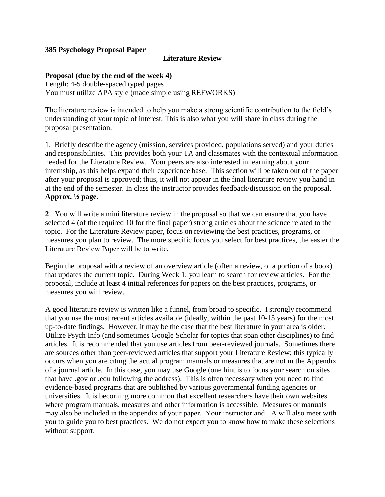## **385 Psychology Proposal Paper**

## **Literature Review**

## **Proposal (due by the end of the week 4)**

Length: 4-5 double-spaced typed pages You must utilize APA style (made simple using REFWORKS)

The literature review is intended to help you make a strong scientific contribution to the field's understanding of your topic of interest. This is also what you will share in class during the proposal presentation.

1. Briefly describe the agency (mission, services provided, populations served) and your duties and responsibilities. This provides both your TA and classmates with the contextual information needed for the Literature Review. Your peers are also interested in learning about your internship, as this helps expand their experience base. This section will be taken out of the paper after your proposal is approved; thus, it will not appear in the final literature review you hand in at the end of the semester. In class the instructor provides feedback/discussion on the proposal. **Approx. ½ page.**

**2**. You will write a mini literature review in the proposal so that we can ensure that you have selected 4 (of the required 10 for the final paper) strong articles about the science related to the topic. For the Literature Review paper, focus on reviewing the best practices, programs, or measures you plan to review. The more specific focus you select for best practices, the easier the Literature Review Paper will be to write.

Begin the proposal with a review of an overview article (often a review, or a portion of a book) that updates the current topic. During Week 1, you learn to search for review articles. For the proposal, include at least 4 initial references for papers on the best practices, programs, or measures you will review.

A good literature review is written like a funnel, from broad to specific. I strongly recommend that you use the most recent articles available (ideally, within the past 10-15 years) for the most up-to-date findings. However, it may be the case that the best literature in your area is older. Utilize Psych Info (and sometimes Google Scholar for topics that span other disciplines) to find articles. It is recommended that you use articles from peer-reviewed journals. Sometimes there are sources other than peer-reviewed articles that support your Literature Review; this typically occurs when you are citing the actual program manuals or measures that are not in the Appendix of a journal article. In this case, you may use Google (one hint is to focus your search on sites that have .gov or .edu following the address). This is often necessary when you need to find evidence-based programs that are published by various governmental funding agencies or universities. It is becoming more common that excellent researchers have their own websites where program manuals, measures and other information is accessible. Measures or manuals may also be included in the appendix of your paper. Your instructor and TA will also meet with you to guide you to best practices. We do not expect you to know how to make these selections without support.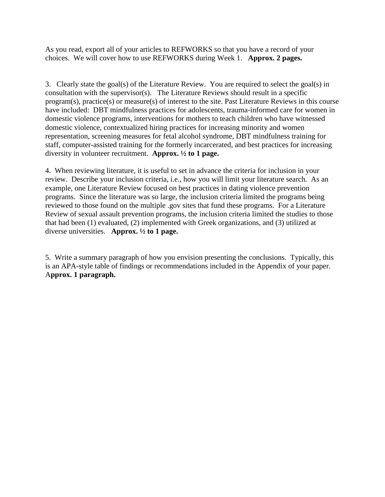As you read, export all of your articles to REFWORKS so that you have a record of your choices. We will cover how to use REFWORKS during Week 1. **Approx. 2 pages.**

3. Clearly state the goal(s) of the Literature Review. You are required to select the goal(s) in consultation with the supervisor(s). The Literature Reviews should result in a specific program(s), practice(s) or measure(s) of interest to the site. Past Literature Reviews in this course have included: DBT mindfulness practices for adolescents, trauma-informed care for women in domestic violence programs, interventions for mothers to teach children who have witnessed domestic violence, contextualized hiring practices for increasing minority and women representation, screening measures for fetal alcohol syndrome, DBT mindfulness training for staff, computer-assisted training for the formerly incarcerated, and best practices for increasing diversity in volunteer recruitment. **Approx. ½ to 1 page.**

4. When reviewing literature, it is useful to set in advance the criteria for inclusion in your review. Describe your inclusion criteria, i.e., how you will limit your literature search. As an example, one Literature Review focused on best practices in dating violence prevention programs. Since the literature was so large, the inclusion criteria limited the programs being reviewed to those found on the multiple .gov sites that fund these programs. For a Literature Review of sexual assault prevention programs, the inclusion criteria limited the studies to those that had been (1) evaluated, (2) implemented with Greek organizations, and (3) utilized at diverse universities. **Approx. ½ to 1 page.**

5. Write a summary paragraph of how you envision presenting the conclusions. Typically, this is an APA-style table of findings or recommendations included in the Appendix of your paper. A**pprox. 1 paragraph.**